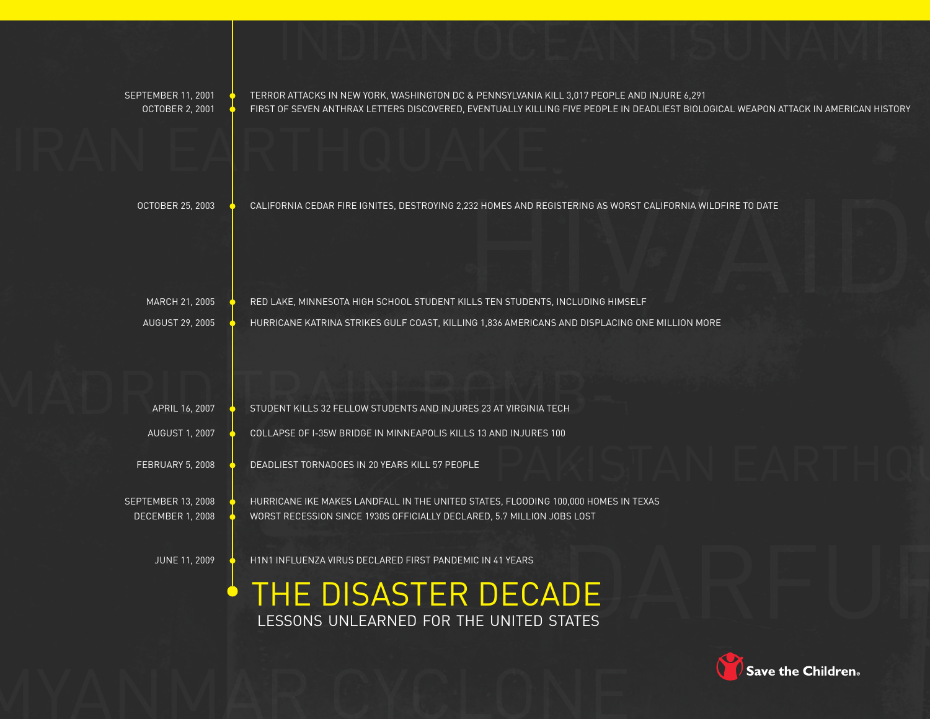September 11, 2001 Terror Attacks in New York, Washington DC & Pennsylvania Kill 3,017 People and Injure 6,291 OCTOBER 2, 2001  $\bullet$  FIRST OF SEVEN ANTHRAX LETTERS DISCOVERED, EVENTUALLY KILLING FIVE PEOPLE IN DEADLIEST BIOLOGICAL WEAPON ATTACK IN AMERICAN HISTORY

indian ocean tsunami

iran earthquake

OCTOBER 25, 2003 CALIFORNIA CEDAR FIRE IGNITES, DESTROYING 2,232 HOMES AND REGISTERING AS WORST CALIFORNIA WILDFIRE TO DATE

August 29, 2005 Hurricane Katrina Strikes Gulf Coast, Killing 1,836 Americans and Displacing One Million More

232 HOMES AND REGISTERING AS WORST CALIFORNIA WILDFIRE TO DATE<br>HIV<br>ILLS TEN STUDENTS, INCLUDING HIMSELF MARCH 21, 2005  $\bullet$  RED LAKE, MINNESOTA HIGH SCHOOL STUDENT KILLS TEN STUDENTS, INCLUDING HIMSELF

APRIL 16, 2007 STUDENT KILLS 32 FELLOW STUDENTS AND INJURES 23 AT VIRGINIA TECH APRIL 16, 2007  $\bullet$  STUDENT KILLS 32 FELLOW STUDENTS AND INJURES 23 AT VIRGINIA TECH

AUGUST 1, 2007 COLLAPSE OF I-35W BRIDGE IN MINNEAPOLIS KILLS 13 AND INJURES 100

FEBRUARY 5, 2008  $\bullet$  DEADLIEST TORNADOES IN 20 YEARS KILL 57 PEOPLE

SEPTEMBER 13, 2008  $\bullet$  HURRICANE IKE MAKES LANDFALL IN THE UNITED STATES, FLOODING 100,000 HOMES IN TEXAS DECEMBER 1, 2008 WORST RECESSION SINCE 1930S OFFICIALLY DECLARED, 5.7 MILLION JOBS LOST

 $\bullet$ 

JUNE 11, 2009  $\bullet$  H1N1 INFLUENZA VIRUS DECLARED FIRST PANDEMIC IN 41 YEARS

THE DISASTER DECADE lessons unlearned for the united states

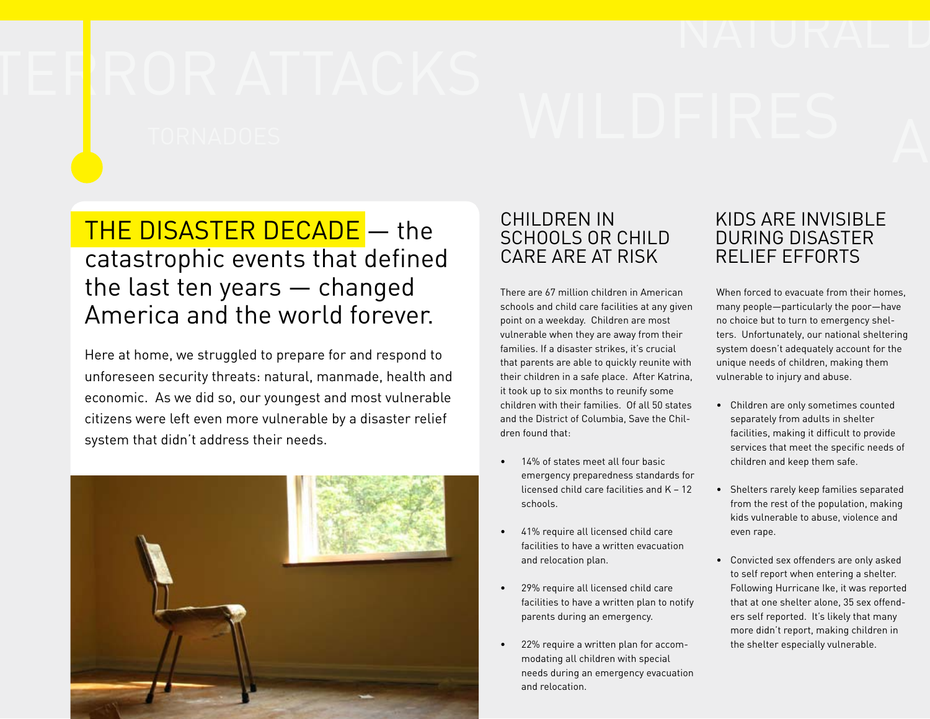# THE DISASTER DECADE - the catastrophic events that defined the last ten years — changed America and the world forever.

Here at home, we struggled to prepare for and respond to unforeseen security threats: natural, manmade, health and economic. As we did so, our youngest and most vulnerable citizens were left even more vulnerable by a disaster relief system that didn't address their needs.



# CHILDREN IN SCHOOLS OR CHILD CARE ARE AT RISK

There are 67 million children in American schools and child care facilities at any given point on a weekday. Children are most vulnerable when they are away from their families. If a disaster strikes, it's crucial that parents are able to quickly reunite with their children in a safe place. After Katrina, it took up to six months to reunify some children with their families. Of all 50 states and the District of Columbia, Save the Children found that:

- 14% of states meet all four basic emergency preparedness standards for licensed child care facilities and K – 12 schools.
- • 41% require all licensed child care facilities to have a written evacuation and relocation plan.
- • 29% require all licensed child care facilities to have a written plan to notify parents during an emergency.
- • 22% require a written plan for accommodating all children with special needs during an emergency evacuation and relocation.

# KIDS ARE INVISIBLE DURING DISASTER RELIEF EFFORTS

When forced to evacuate from their homes many people—particularly the poor—have no choice but to turn to emergency shelters. Unfortunately, our national sheltering system doesn't adequately account for the unique needs of children, making them vulnerable to injury and abuse.

- • Children are only sometimes counted separately from adults in shelter facilities, making it difficult to provide services that meet the specific needs of children and keep them safe.
- • Shelters rarely keep families separated from the rest of the population, making kids vulnerable to abuse, violence and even rape.
- • Convicted sex offenders are only asked to self report when entering a shelter. Following Hurricane Ike, it was reported that at one shelter alone, 35 sex offenders self reported. It's likely that many more didn't report, making children in the shelter especially vulnerable.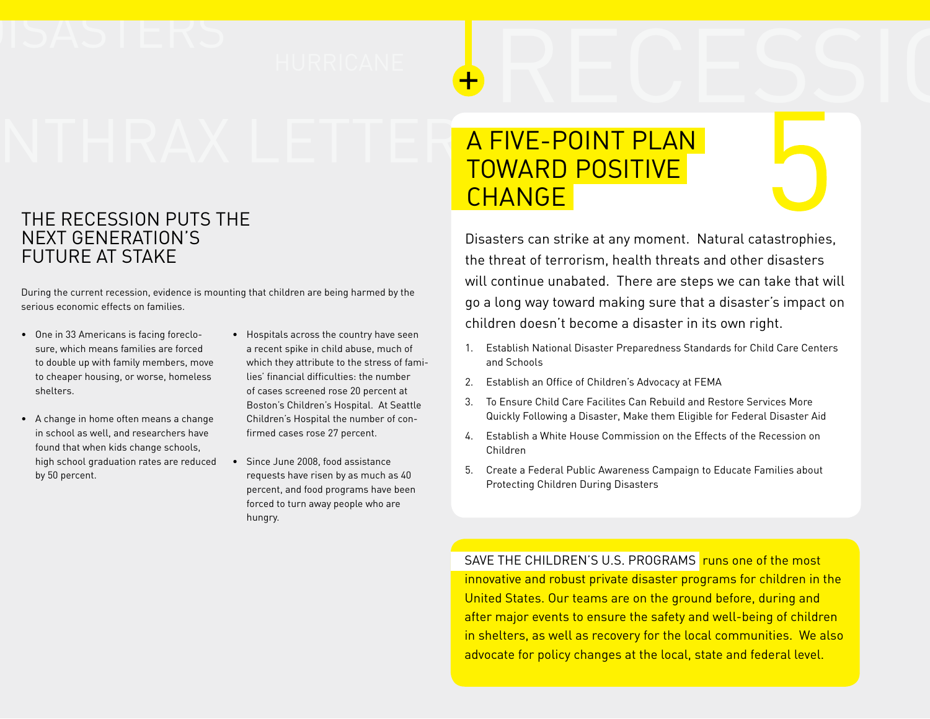# ISASTERS<br>NTHRAXTETTER<mark>AFIVE-POINTPLAN</mark>

# THE RECESSION PUTS THE NEXT GENERATION'S FUTURE AT STAKE

During the current recession, evidence is mounting that children are being harmed by the serious economic effects on families.

- • One in 33 Americans is facing foreclosure, which means families are forced to double up with family members, move to cheaper housing, or worse, homeless shelters.
- • A change in home often means a change in school as well, and researchers have found that when kids change schools, high school graduation rates are reduced by 50 percent.
- • Hospitals across the country have seen a recent spike in child abuse, much of which they attribute to the stress of families' financial difficulties: the number of cases screened rose 20 percent at Boston's Children's Hospital. At Seattle Children's Hospital the number of confirmed cases rose 27 percent.
- Since June 2008, food assistance requests have risen by as much as 40 percent, and food programs have been forced to turn away people who are hungry.

# A Five-point plan TOWARD POSITIVE CHANGE

Disasters can strike at any moment. Natural catastrophies, the threat of terrorism, health threats and other disasters will continue unabated. There are steps we can take that will go a long way toward making sure that a disaster's impact on children doesn't become a disaster in its own right.

- 1. Establish National Disaster Preparedness Standards for Child Care Centers and Schools
- 2. Establish an Office of Children's Advocacy at FEMA
- 3. To Ensure Child Care Facilites Can Rebuild and Restore Services More Quickly Following a Disaster, Make them Eligible for Federal Disaster Aid
- 4. Establish a White House Commission on the Effects of the Recession on Children
- 5. Create a Federal Public Awareness Campaign to Educate Families about Protecting Children During Disasters

SAVE THE CHILDREN'S U.S. PROGRAMS runs one of the most innovative and robust private disaster programs for children in the United States. Our teams are on the ground before, during and after major events to ensure the safety and well-being of children in shelters, as well as recovery for the local communities. We also advocate for policy changes at the local, state and federal level.